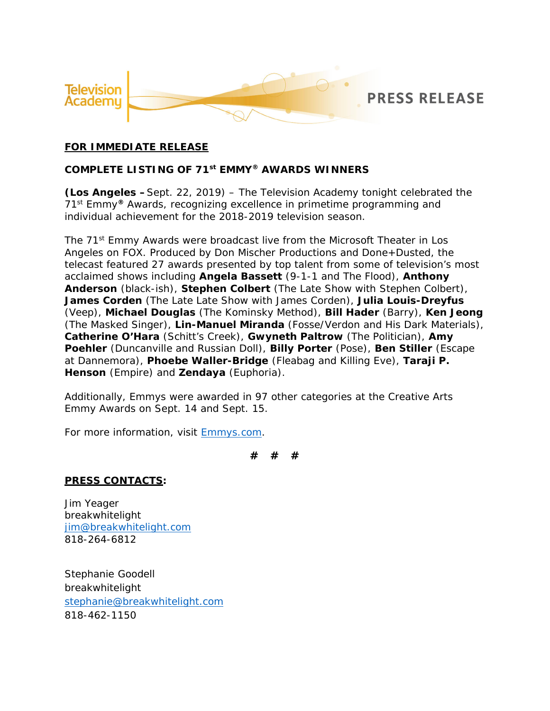

#### **FOR IMMEDIATE RELEASE**

**COMPLETE LISTING OF 71st EMMY® AWARDS WINNERS**

**(Los Angeles –**Sept. 22, 2019) – The Television Academy tonight celebrated the 71st Emmy**®** Awards, recognizing excellence in primetime programming and individual achievement for the 2018-2019 television season.

The 71<sup>st</sup> Emmy Awards were broadcast live from the Microsoft Theater in Los Angeles on FOX. Produced by Don Mischer Productions and Done+Dusted, the telecast featured 27 awards presented by top talent from some of television's most acclaimed shows including **Angela Bassett** (*9-1-1* and *The Flood*), **Anthony Anderson** (*black-ish*), **Stephen Colbert** (*The Late Show with Stephen Colbert*), **James Corden** (*The Late Late Show with James Corden*), **Julia Louis-Dreyfus** (*Veep*), **Michael Douglas** (*The Kominsky Method*), **Bill Hader** (*Barry*), **Ken Jeong** (*The Masked Singer*), **Lin-Manuel Miranda** (*Fosse/Verdon* and *His Dark Materials*), **Catherine O'Hara** (*Schitt's Creek*), **Gwyneth Paltrow** (*The Politician*), **Amy Poehler** (*Duncanville* and *Russian Doll*), **Billy Porter** (*Pose*), **Ben Stiller** (*Escape at Dannemora*), **Phoebe Waller-Bridge** (*Fleabag* and *Killing Eve*), **Taraji P. Henson** (*Empire*) and **Zendaya** (*Euphoria*).

Additionally, Emmys were awarded in 97 other categories at the Creative Arts Emmy Awards on Sept. 14 and Sept. 15.

For more information, visit Emmys.com.

**# # #**

**PRESS CONTACTS:**

Jim Yeager breakwhitelight jim@breakwhitelight.com 818-264-6812

Stephanie Goodell breakwhitelight stephanie@breakwhitelight.com 818-462-1150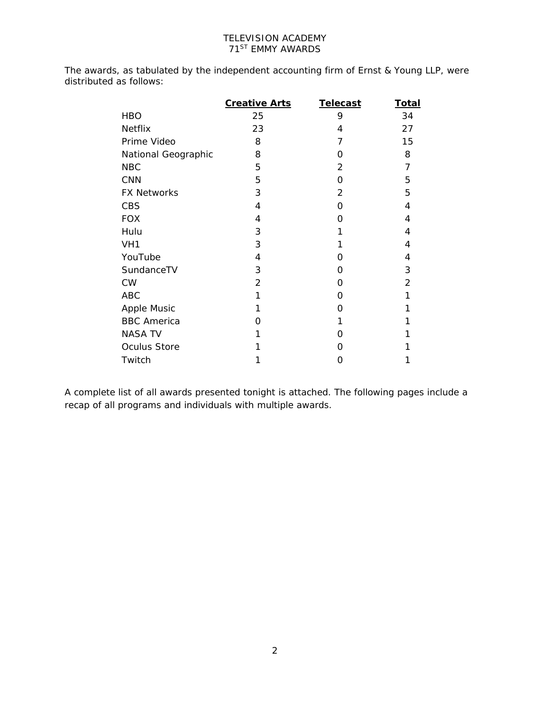The awards, as tabulated by the independent accounting firm of Ernst & Young LLP, were distributed as follows:

|                     | Creative Arts | <b>Telecast</b> | <b>Total</b>   |
|---------------------|---------------|-----------------|----------------|
| <b>HBO</b>          | 25            | 9               | 34             |
| Netflix             | 23            | 4               | 27             |
| Prime Video         | 8             | 7               | 15             |
| National Geographic | 8             | O               | 8              |
| <b>NBC</b>          | 5             | $\overline{2}$  | $\overline{7}$ |
| <b>CNN</b>          | 5             | O               | 5              |
| <b>FX Networks</b>  | 3             | 2               | 5              |
| <b>CBS</b>          | 4             | $\Omega$        | 4              |
| <b>FOX</b>          | 4             | O               | 4              |
| Hulu                | 3             | 1               | 4              |
| VH <sub>1</sub>     | 3             | 1               | 4              |
| YouTube             | 4             | 0               | 4              |
| SundanceTV          | 3             | O               | 3              |
| <b>CW</b>           | 2             | O               | $\overline{2}$ |
| <b>ABC</b>          | 1             | O               | 1              |
| Apple Music         | 1             | O               |                |
| <b>BBC</b> America  | O             | 1               |                |
| <b>NASA TV</b>      | 1             | O               |                |
| Oculus Store        |               | O               |                |
| Twitch              | 1             | O               |                |

A complete list of all awards presented tonight is attached. The following pages include a recap of all programs and individuals with multiple awards.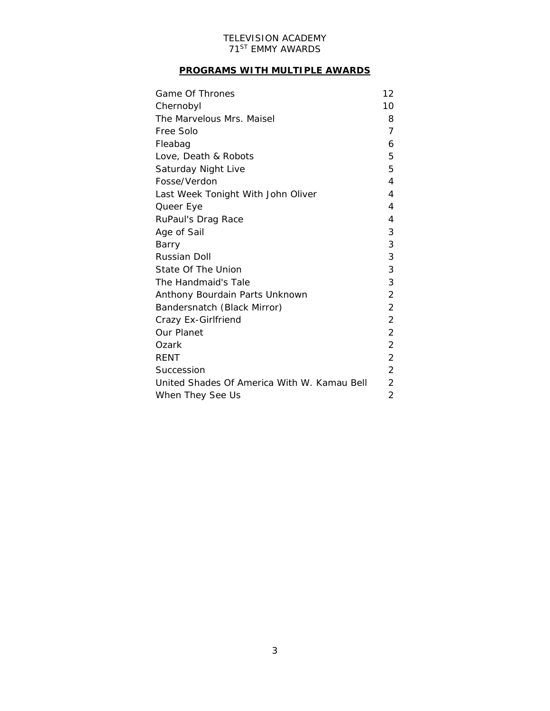## **PROGRAMS WITH MULTIPLE AWARDS**

| Game Of Thrones                             | 12             |
|---------------------------------------------|----------------|
| Chernobyl                                   | 10             |
| The Marvelous Mrs. Maisel                   |                |
| Free Solo                                   | 7              |
| Fleabag                                     | 6              |
| Love, Death & Robots                        | 5              |
| Saturday Night Live                         | 5              |
| Fosse/Verdon                                | 4              |
| Last Week Tonight With John Oliver          | 4              |
| Queer Eye                                   | 4              |
| RuPaul's Drag Race                          | 4              |
| Age of Sail                                 | 3              |
| Barry                                       | 3              |
| Russian Doll                                | 3              |
| State Of The Union                          | 3              |
| The Handmaid's Tale                         | 3              |
| Anthony Bourdain Parts Unknown              | 2              |
| Bandersnatch (Black Mirror)                 | 2              |
| Crazy Ex-Girlfriend                         | $\overline{2}$ |
| Our Planet                                  | $\overline{2}$ |
| Ozark                                       | 2              |
| <b>RENT</b>                                 | $\overline{2}$ |
| Succession                                  |                |
| United Shades Of America With W. Kamau Bell |                |
| When They See Us                            |                |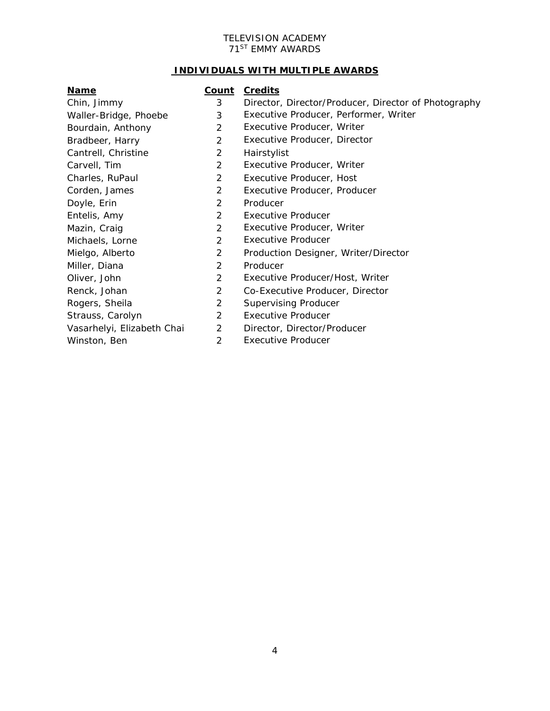#### **INDIVIDUALS WITH MULTIPLE AWARDS**

#### **Name Count Credits**

- Chin, Jimmy 3 Director, Director/Producer, Director of Photography
- Waller-Bridge, Phoebe 3 Executive Producer, Performer, Writer
- Bourdain, Anthony **2** Executive Producer, Writer
- Bradbeer, Harry 2 Executive Producer, Director
- Cantrell, Christine 2 Hairstylist
- Carvell, Tim 2 Executive Producer, Writer
- Charles, RuPaul 2 Executive Producer, Host
- Corden, James 2 Executive Producer, Producer
- Doyle, Erin 2 Producer
- Entelis, Amy 2 Executive Producer
- Mazin, Craig 2 Executive Producer, Writer
- Michaels, Lorne 2 Executive Producer
- Mielgo, Alberto 2 Production Designer, Writer/Director
- Miller, Diana 2 Producer
- Oliver, John 2 Executive Producer/Host, Writer
- Renck, Johan 2 Co-Executive Producer, Director
- Rogers, Sheila 2 Supervising Producer
- Strauss, Carolyn 2 Executive Producer
- Vasarhelyi, Elizabeth Chai 2 Director, Director/Producer
- Winston, Ben 2 Executive Producer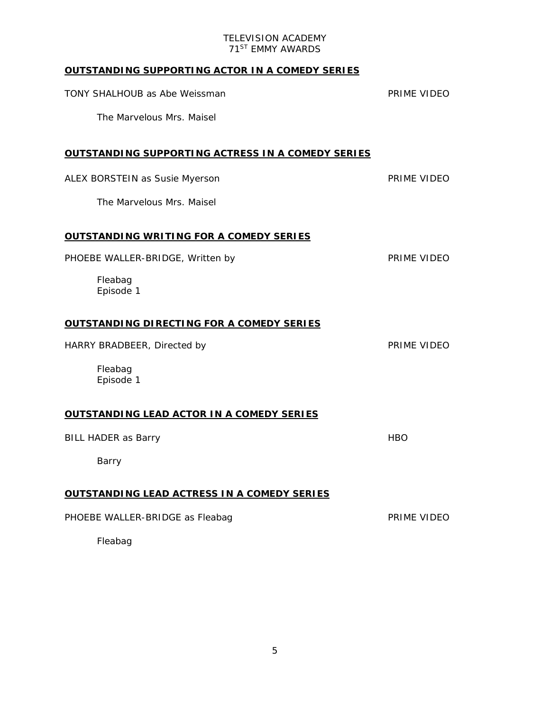## **OUTSTANDING SUPPORTING ACTOR IN A COMEDY SERIES**

| TONY SHALHOUB as Abe Weissman                     | PRIME VIDEO |
|---------------------------------------------------|-------------|
| The Marvelous Mrs. Maisel                         |             |
| OUTSTANDING SUPPORTING ACTRESS IN A COMEDY SERIES |             |
| ALEX BORSTEIN as Susie Myerson                    | PRIME VIDEO |
| The Marvelous Mrs. Maisel                         |             |
| OUTSTANDING WRITING FOR A COMEDY SERIES           |             |
| PHOEBE WALLER-BRIDGE, Written by                  | PRIME VIDEO |
| Fleabag<br>Episode 1                              |             |
| <u>OUTSTANDING DIRECTING FOR A COMEDY SERIES</u>  |             |
| HARRY BRADBEER, Directed by                       | PRIME VIDEO |
| Fleabag<br>Episode 1                              |             |
| <u>OUTSTANDING LEAD ACTOR IN A COMEDY SERIES</u>  |             |
| <b>BILL HADER as Barry</b>                        | <b>HBO</b>  |
| Barry                                             |             |
| OUTSTANDING LEAD ACTRESS IN A COMEDY SERIES       |             |
| PHOEBE WALLER-BRIDGE as Fleabag                   | PRIME VIDEO |
| Fleabag                                           |             |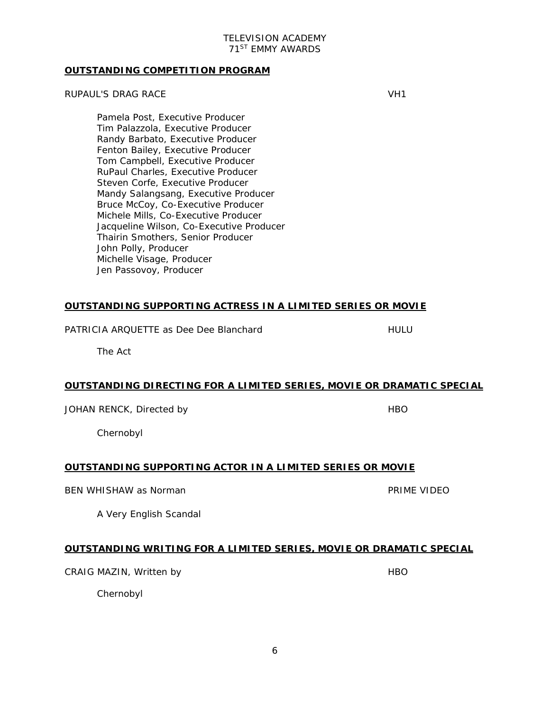#### **OUTSTANDING COMPETITION PROGRAM**

#### RUPAUL'S DRAG RACE VH1

Pamela Post, Executive Producer Tim Palazzola, Executive Producer Randy Barbato, Executive Producer Fenton Bailey, Executive Producer Tom Campbell, Executive Producer RuPaul Charles, Executive Producer Steven Corfe, Executive Producer Mandy Salangsang, Executive Producer Bruce McCoy, Co-Executive Producer Michele Mills, Co-Executive Producer Jacqueline Wilson, Co-Executive Producer Thairin Smothers, Senior Producer John Polly, Producer Michelle Visage, Producer Jen Passovoy, Producer

#### **OUTSTANDING SUPPORTING ACTRESS IN A LIMITED SERIES OR MOVIE**

PATRICIA AROUETTE as Dee Dee Blanchard HULU

The Act

#### **OUTSTANDING DIRECTING FOR A LIMITED SERIES, MOVIE OR DRAMATIC SPECIAL**

JOHAN RENCK, Directed by HBO HBO

Chernobyl

#### **OUTSTANDING SUPPORTING ACTOR IN A LIMITED SERIES OR MOVIE**

BEN WHISHAW as Norman **PRIME VIDEO** 

A Very English Scandal

#### **OUTSTANDING WRITING FOR A LIMITED SERIES, MOVIE OR DRAMATIC SPECIAL**

CRAIG MAZIN, Written by **HBO** HBO

Chernobyl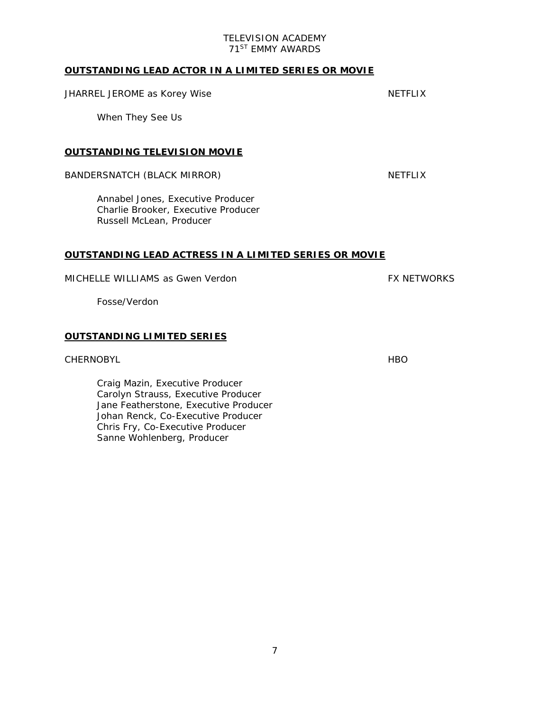#### **OUTSTANDING LEAD ACTOR IN A LIMITED SERIES OR MOVIE**

#### JHARREL JEROME as Korey Wise Network and the NETFLIX

When They See Us

#### **OUTSTANDING TELEVISION MOVIE**

#### BANDERSNATCH (BLACK MIRROR) NETFLIX

Annabel Jones, Executive Producer Charlie Brooker, Executive Producer Russell McLean, Producer

#### **OUTSTANDING LEAD ACTRESS IN A LIMITED SERIES OR MOVIE**

#### MICHELLE WILLIAMS as Gwen Verdon Factor Formulation of the FX NETWORKS

Fosse/Verdon

#### **OUTSTANDING LIMITED SERIES**

#### CHERNOBYL **HBO**

Craig Mazin, Executive Producer Carolyn Strauss, Executive Producer Jane Featherstone, Executive Producer Johan Renck, Co-Executive Producer Chris Fry, Co-Executive Producer Sanne Wohlenberg, Producer

7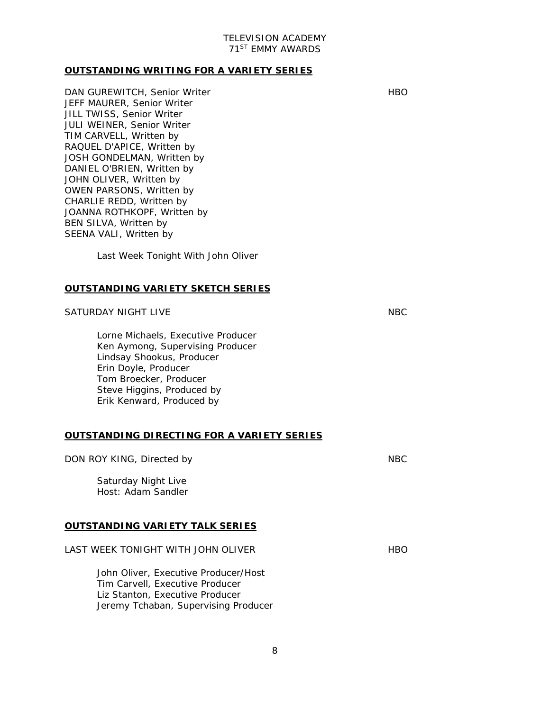#### **OUTSTANDING WRITING FOR A VARIETY SERIES**

DAN GUREWITCH, Senior Writer **HBO** HBO JEFF MAURER, Senior Writer JILL TWISS, Senior Writer JULI WEINER, Senior Writer TIM CARVELL, Written by RAQUEL D'APICE, Written by JOSH GONDELMAN, Written by DANIEL O'BRIEN, Written by JOHN OLIVER, Written by OWEN PARSONS, Written by CHARLIE REDD, Written by JOANNA ROTHKOPF, Written by BEN SILVA, Written by SEENA VALI, Written by

Last Week Tonight With John Oliver

#### **OUTSTANDING VARIETY SKETCH SERIES**

#### SATURDAY NIGHT LIVE NBC

Lorne Michaels, Executive Producer Ken Aymong, Supervising Producer Lindsay Shookus, Producer Erin Doyle, Producer Tom Broecker, Producer Steve Higgins, Produced by Erik Kenward, Produced by

#### **OUTSTANDING DIRECTING FOR A VARIETY SERIES**

## DON ROY KING, Directed by NBC Saturday Night Live *Host: Adam Sandler* **OUTSTANDING VARIETY TALK SERIES** LAST WEEK TONIGHT WITH JOHN OLIVER **HBO**

John Oliver, Executive Producer/Host Tim Carvell, Executive Producer Liz Stanton, Executive Producer Jeremy Tchaban, Supervising Producer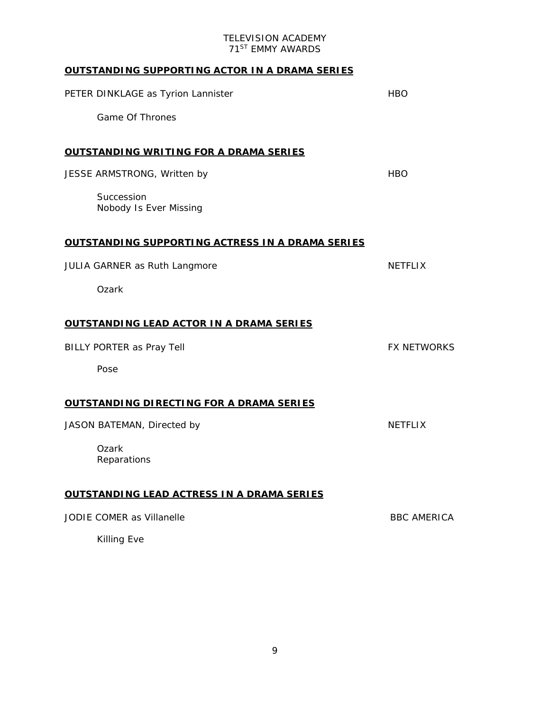# **OUTSTANDING SUPPORTING ACTOR IN A DRAMA SERIES** PETER DINKLAGE as Tyrion Lannister **HBO** HBO Game Of Thrones **OUTSTANDING WRITING FOR A DRAMA SERIES** JESSE ARMSTRONG, Written by Annual Metal Article HBO Succession *Nobody Is Ever Missing* **OUTSTANDING SUPPORTING ACTRESS IN A DRAMA SERIES** JULIA GARNER as Ruth Langmore NETFLIX Ozark **OUTSTANDING LEAD ACTOR IN A DRAMA SERIES** BILLY PORTER as Pray Tell **FX NETWORKS** Pose **OUTSTANDING DIRECTING FOR A DRAMA SERIES** JASON BATEMAN, Directed by NETFLIX **Ozark** *Reparations* **OUTSTANDING LEAD ACTRESS IN A DRAMA SERIES** JODIE COMER as Villanelle BBC AMERICA Killing Eve